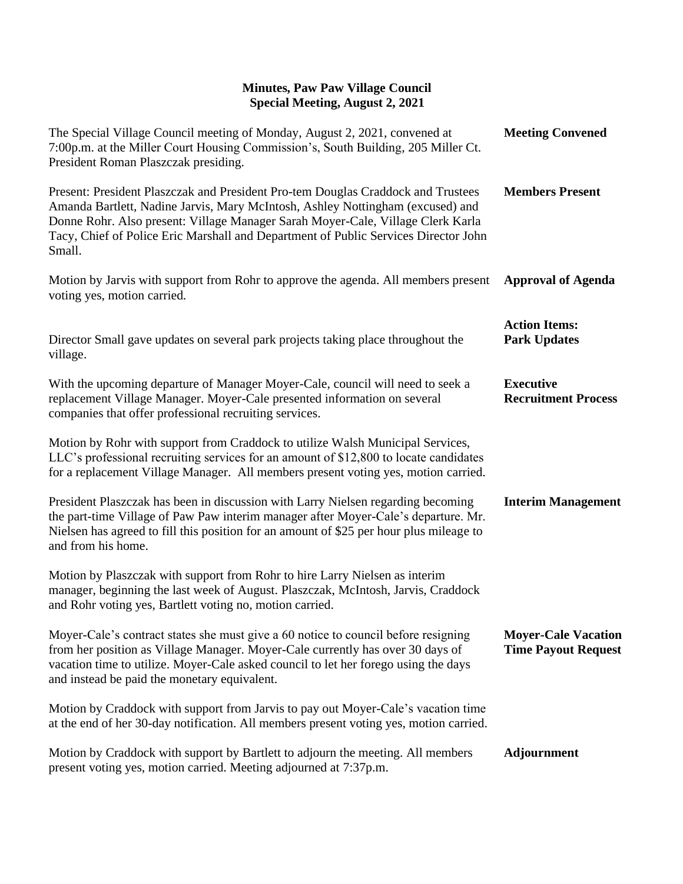## **Minutes, Paw Paw Village Council Special Meeting, August 2, 2021**

| The Special Village Council meeting of Monday, August 2, 2021, convened at<br>7:00p.m. at the Miller Court Housing Commission's, South Building, 205 Miller Ct.<br>President Roman Plaszczak presiding.                                                                                                                                                | <b>Meeting Convened</b>                                  |
|--------------------------------------------------------------------------------------------------------------------------------------------------------------------------------------------------------------------------------------------------------------------------------------------------------------------------------------------------------|----------------------------------------------------------|
| Present: President Plaszczak and President Pro-tem Douglas Craddock and Trustees<br>Amanda Bartlett, Nadine Jarvis, Mary McIntosh, Ashley Nottingham (excused) and<br>Donne Rohr. Also present: Village Manager Sarah Moyer-Cale, Village Clerk Karla<br>Tacy, Chief of Police Eric Marshall and Department of Public Services Director John<br>Small. | <b>Members Present</b>                                   |
| Motion by Jarvis with support from Rohr to approve the agenda. All members present<br>voting yes, motion carried.                                                                                                                                                                                                                                      | <b>Approval of Agenda</b>                                |
| Director Small gave updates on several park projects taking place throughout the<br>village.                                                                                                                                                                                                                                                           | <b>Action Items:</b><br><b>Park Updates</b>              |
| With the upcoming departure of Manager Moyer-Cale, council will need to seek a<br>replacement Village Manager. Moyer-Cale presented information on several<br>companies that offer professional recruiting services.                                                                                                                                   | <b>Executive</b><br><b>Recruitment Process</b>           |
| Motion by Rohr with support from Craddock to utilize Walsh Municipal Services,<br>LLC's professional recruiting services for an amount of \$12,800 to locate candidates<br>for a replacement Village Manager. All members present voting yes, motion carried.                                                                                          |                                                          |
| President Plaszczak has been in discussion with Larry Nielsen regarding becoming<br>the part-time Village of Paw Paw interim manager after Moyer-Cale's departure. Mr.<br>Nielsen has agreed to fill this position for an amount of \$25 per hour plus mileage to<br>and from his home.                                                                | <b>Interim Management</b>                                |
| Motion by Plaszczak with support from Rohr to hire Larry Nielsen as interim<br>manager, beginning the last week of August. Plaszczak, McIntosh, Jarvis, Craddock<br>and Rohr voting yes, Bartlett voting no, motion carried.                                                                                                                           |                                                          |
| Moyer-Cale's contract states she must give a 60 notice to council before resigning<br>from her position as Village Manager. Moyer-Cale currently has over 30 days of<br>vacation time to utilize. Moyer-Cale asked council to let her forego using the days<br>and instead be paid the monetary equivalent.                                            | <b>Moyer-Cale Vacation</b><br><b>Time Payout Request</b> |
| Motion by Craddock with support from Jarvis to pay out Moyer-Cale's vacation time<br>at the end of her 30-day notification. All members present voting yes, motion carried.                                                                                                                                                                            |                                                          |
| Motion by Craddock with support by Bartlett to adjourn the meeting. All members<br>present voting yes, motion carried. Meeting adjourned at 7:37p.m.                                                                                                                                                                                                   | <b>Adjournment</b>                                       |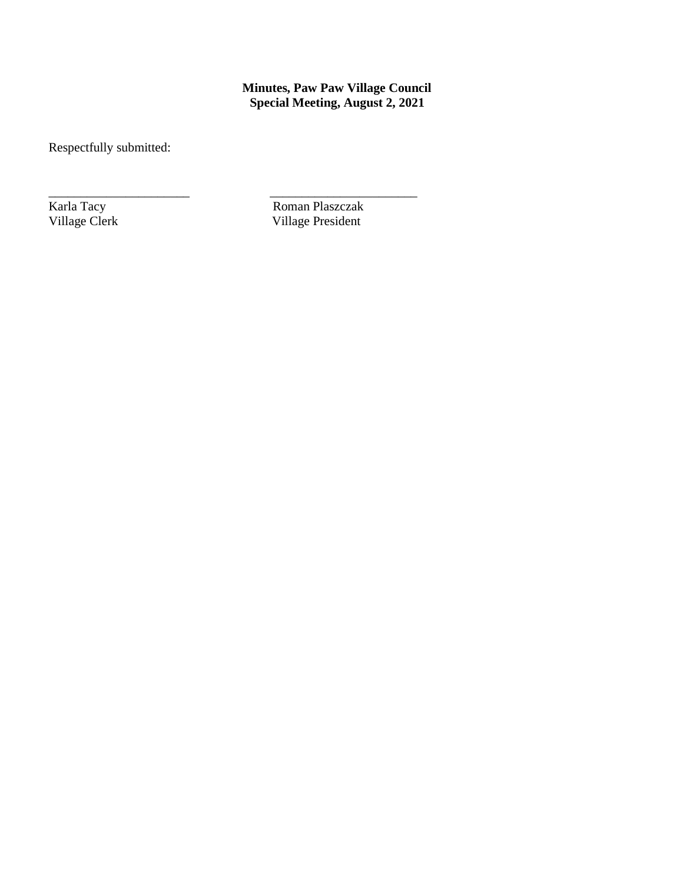**Minutes, Paw Paw Village Council Special Meeting, August 2, 2021**

Respectfully submitted:

\_\_\_\_\_\_\_\_\_\_\_\_\_\_\_\_\_\_\_\_\_\_ \_\_\_\_\_\_\_\_\_\_\_\_\_\_\_\_\_\_\_\_\_\_\_ **Karla Tacy** Roman Plaszczak<br>
Village Clerk Village President Village President